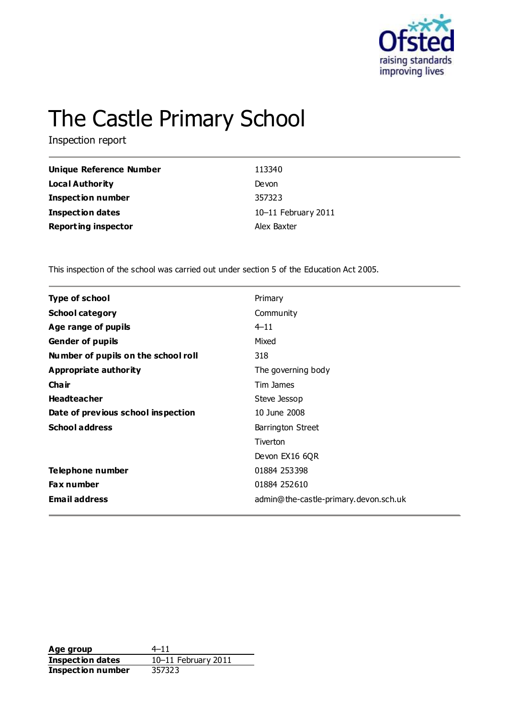

# The Castle Primary School

Inspection report

| Unique Reference Number    | 113340              |
|----------------------------|---------------------|
| Local Authority            | Devon               |
| <b>Inspection number</b>   | 357323              |
| <b>Inspection dates</b>    | 10-11 February 2011 |
| <b>Reporting inspector</b> | Alex Baxter         |

This inspection of the school was carried out under section 5 of the Education Act 2005.

| <b>Type of school</b>               | Primary                               |
|-------------------------------------|---------------------------------------|
| <b>School category</b>              | Community                             |
| Age range of pupils                 | $4 - 11$                              |
| <b>Gender of pupils</b>             | Mixed                                 |
| Number of pupils on the school roll | 318                                   |
| <b>Appropriate authority</b>        | The governing body                    |
| Cha ir                              | Tim James                             |
| <b>Headteacher</b>                  | Steve Jessop                          |
| Date of previous school inspection  | 10 June 2008                          |
| <b>School address</b>               | Barrington Street                     |
|                                     | Tiverton                              |
|                                     | Devon EX16 6QR                        |
| Telephone number                    | 01884 253398                          |
| Fax number                          | 01884 252610                          |
| <b>Email address</b>                | admin@the-castle-primary.devon.sch.uk |
|                                     |                                       |

**Age group** 4–11 **Inspection dates** 10–11 February 2011 **Inspection number** 357323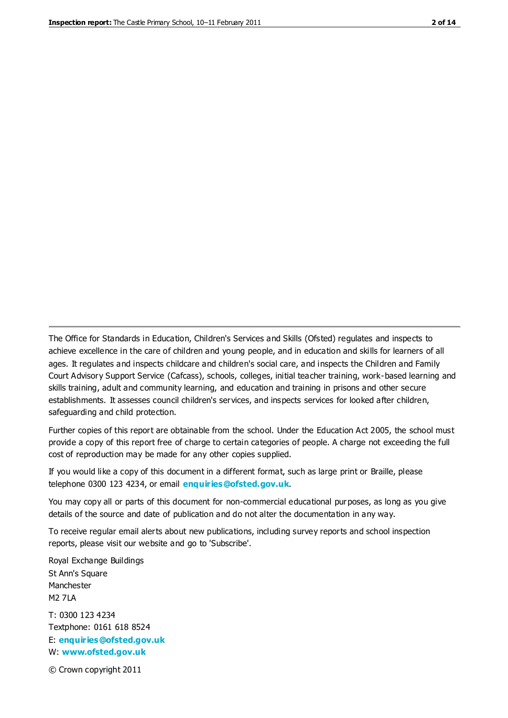The Office for Standards in Education, Children's Services and Skills (Ofsted) regulates and inspects to achieve excellence in the care of children and young people, and in education and skills for learners of all ages. It regulates and inspects childcare and children's social care, and inspects the Children and Family Court Advisory Support Service (Cafcass), schools, colleges, initial teacher training, work-based learning and skills training, adult and community learning, and education and training in prisons and other secure establishments. It assesses council children's services, and inspects services for looked after children, safeguarding and child protection.

Further copies of this report are obtainable from the school. Under the Education Act 2005, the school must provide a copy of this report free of charge to certain categories of people. A charge not exceeding the full cost of reproduction may be made for any other copies supplied.

If you would like a copy of this document in a different format, such as large print or Braille, please telephone 0300 123 4234, or email **[enquiries@ofsted.gov.uk](mailto:enquiries@ofsted.gov.uk)**.

You may copy all or parts of this document for non-commercial educational purposes, as long as you give details of the source and date of publication and do not alter the documentation in any way.

To receive regular email alerts about new publications, including survey reports and school inspection reports, please visit our website and go to 'Subscribe'.

Royal Exchange Buildings St Ann's Square Manchester M2 7LA T: 0300 123 4234 Textphone: 0161 618 8524 E: **[enquiries@ofsted.gov.uk](mailto:enquiries@ofsted.gov.uk)**

W: **[www.ofsted.gov.uk](http://www.ofsted.gov.uk/)**

© Crown copyright 2011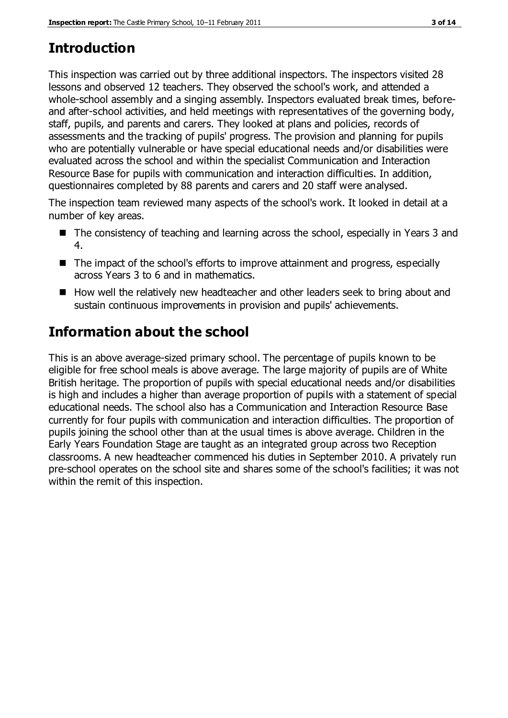# **Introduction**

This inspection was carried out by three additional inspectors. The inspectors visited 28 lessons and observed 12 teachers. They observed the school's work, and attended a whole-school assembly and a singing assembly. Inspectors evaluated break times, beforeand after-school activities, and held meetings with representatives of the governing body, staff, pupils, and parents and carers. They looked at plans and policies, records of assessments and the tracking of pupils' progress. The provision and planning for pupils who are potentially vulnerable or have special educational needs and/or disabilities were evaluated across the school and within the specialist Communication and Interaction Resource Base for pupils with communication and interaction difficulties. In addition, questionnaires completed by 88 parents and carers and 20 staff were analysed.

The inspection team reviewed many aspects of the school's work. It looked in detail at a number of key areas.

- The consistency of teaching and learning across the school, especially in Years 3 and 4.
- The impact of the school's efforts to improve attainment and progress, especially across Years 3 to 6 and in mathematics.
- How well the relatively new headteacher and other leaders seek to bring about and sustain continuous improvements in provision and pupils' achievements.

# **Information about the school**

This is an above average-sized primary school. The percentage of pupils known to be eligible for free school meals is above average. The large majority of pupils are of White British heritage. The proportion of pupils with special educational needs and/or disabilities is high and includes a higher than average proportion of pupils with a statement of special educational needs. The school also has a Communication and Interaction Resource Base currently for four pupils with communication and interaction difficulties. The proportion of pupils joining the school other than at the usual times is above average. Children in the Early Years Foundation Stage are taught as an integrated group across two Reception classrooms. A new headteacher commenced his duties in September 2010. A privately run pre-school operates on the school site and shares some of the school's facilities; it was not within the remit of this inspection.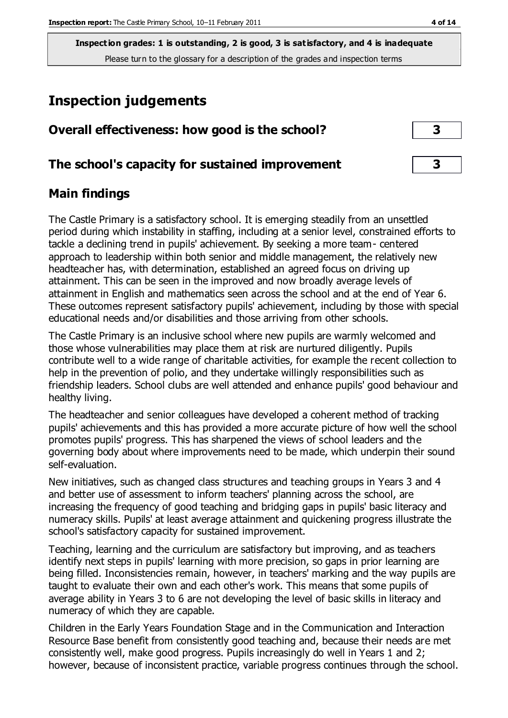# **Inspection judgements**

| Overall effectiveness: how good is the school?  |  |
|-------------------------------------------------|--|
| The school's capacity for sustained improvement |  |

#### **Main findings**

The Castle Primary is a satisfactory school. It is emerging steadily from an unsettled period during which instability in staffing, including at a senior level, constrained efforts to tackle a declining trend in pupils' achievement. By seeking a more team- centered approach to leadership within both senior and middle management, the relatively new headteacher has, with determination, established an agreed focus on driving up attainment. This can be seen in the improved and now broadly average levels of attainment in English and mathematics seen across the school and at the end of Year 6. These outcomes represent satisfactory pupils' achievement, including by those with special educational needs and/or disabilities and those arriving from other schools.

The Castle Primary is an inclusive school where new pupils are warmly welcomed and those whose vulnerabilities may place them at risk are nurtured diligently. Pupils contribute well to a wide range of charitable activities, for example the recent collection to help in the prevention of polio, and they undertake willingly responsibilities such as friendship leaders. School clubs are well attended and enhance pupils' good behaviour and healthy living.

The headteacher and senior colleagues have developed a coherent method of tracking pupils' achievements and this has provided a more accurate picture of how well the school promotes pupils' progress. This has sharpened the views of school leaders and the governing body about where improvements need to be made, which underpin their sound self-evaluation.

New initiatives, such as changed class structures and teaching groups in Years 3 and 4 and better use of assessment to inform teachers' planning across the school, are increasing the frequency of good teaching and bridging gaps in pupils' basic literacy and numeracy skills. Pupils' at least average attainment and quickening progress illustrate the school's satisfactory capacity for sustained improvement.

Teaching, learning and the curriculum are satisfactory but improving, and as teachers identify next steps in pupils' learning with more precision, so gaps in prior learning are being filled. Inconsistencies remain, however, in teachers' marking and the way pupils are taught to evaluate their own and each other's work. This means that some pupils of average ability in Years 3 to 6 are not developing the level of basic skills in literacy and numeracy of which they are capable.

Children in the Early Years Foundation Stage and in the Communication and Interaction Resource Base benefit from consistently good teaching and, because their needs are met consistently well, make good progress. Pupils increasingly do well in Years 1 and 2; however, because of inconsistent practice, variable progress continues through the school.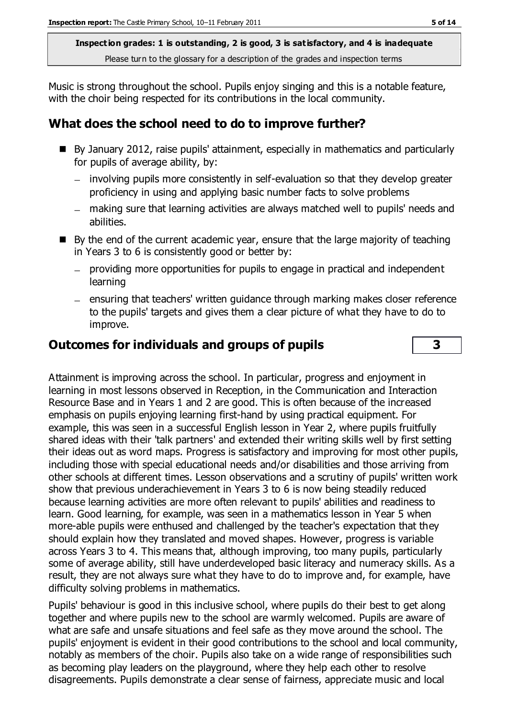Music is strong throughout the school. Pupils enjoy singing and this is a notable feature, with the choir being respected for its contributions in the local community.

# **What does the school need to do to improve further?**

- By January 2012, raise pupils' attainment, especially in mathematics and particularly for pupils of average ability, by:
	- involving pupils more consistently in self-evaluation so that they develop greater proficiency in using and applying basic number facts to solve problems
	- making sure that learning activities are always matched well to pupils' needs and abilities.
- $\blacksquare$  By the end of the current academic year, ensure that the large majority of teaching in Years 3 to 6 is consistently good or better by:
	- providing more opportunities for pupils to engage in practical and independent learning
	- $-$  ensuring that teachers' written guidance through marking makes closer reference to the pupils' targets and gives them a clear picture of what they have to do to improve.

## **Outcomes for individuals and groups of pupils 3**

Attainment is improving across the school. In particular, progress and enjoyment in learning in most lessons observed in Reception, in the Communication and Interaction Resource Base and in Years 1 and 2 are good. This is often because of the increased emphasis on pupils enjoying learning first-hand by using practical equipment. For example, this was seen in a successful English lesson in Year 2, where pupils fruitfully shared ideas with their 'talk partners' and extended their writing skills well by first setting their ideas out as word maps. Progress is satisfactory and improving for most other pupils, including those with special educational needs and/or disabilities and those arriving from other schools at different times. Lesson observations and a scrutiny of pupils' written work show that previous underachievement in Years 3 to 6 is now being steadily reduced because learning activities are more often relevant to pupils' abilities and readiness to learn. Good learning, for example, was seen in a mathematics lesson in Year 5 when more-able pupils were enthused and challenged by the teacher's expectation that they should explain how they translated and moved shapes. However, progress is variable across Years 3 to 4. This means that, although improving, too many pupils, particularly some of average ability, still have underdeveloped basic literacy and numeracy skills. As a result, they are not always sure what they have to do to improve and, for example, have difficulty solving problems in mathematics.

Pupils' behaviour is good in this inclusive school, where pupils do their best to get along together and where pupils new to the school are warmly welcomed. Pupils are aware of what are safe and unsafe situations and feel safe as they move around the school. The pupils' enjoyment is evident in their good contributions to the school and local community, notably as members of the choir. Pupils also take on a wide range of responsibilities such as becoming play leaders on the playground, where they help each other to resolve disagreements. Pupils demonstrate a clear sense of fairness, appreciate music and local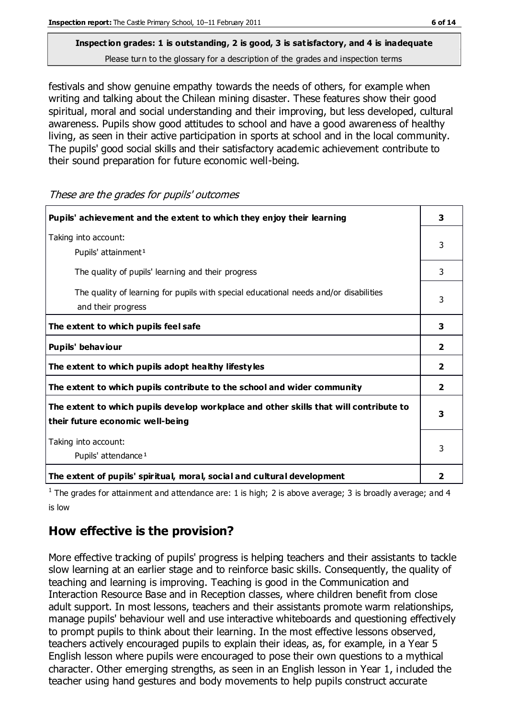festivals and show genuine empathy towards the needs of others, for example when writing and talking about the Chilean mining disaster. These features show their good spiritual, moral and social understanding and their improving, but less developed, cultural awareness. Pupils show good attitudes to school and have a good awareness of healthy living, as seen in their active participation in sports at school and in the local community. The pupils' good social skills and their satisfactory academic achievement contribute to their sound preparation for future economic well-being.

**Pupils' achievement and the extent to which they enjoy their learning 3** Taking into account: Pupils' attainment<sup>1</sup> 3 The quality of pupils' learning and their progress and the state of the state of the state of the state of the state of the state of the state of the state of the state of the state of the state of the state of the state o The quality of learning for pupils with special educational needs and/or disabilities and their progress 3 **The extent to which pupils feel safe 3 Pupils' behaviour 2 The extent to which pupils adopt healthy lifestyles 2 The extent to which pupils contribute to the school and wider community 2 The extent to which pupils develop workplace and other skills that will contribute to their future economic well-being 3** Taking into account: Pupils' attendance<sup>1</sup> 3 **The extent of pupils' spiritual, moral, social and cultural development 2**

These are the grades for pupils' outcomes

<sup>1</sup> The grades for attainment and attendance are: 1 is high; 2 is above average; 3 is broadly average; and 4 is low

# **How effective is the provision?**

More effective tracking of pupils' progress is helping teachers and their assistants to tackle slow learning at an earlier stage and to reinforce basic skills. Consequently, the quality of teaching and learning is improving. Teaching is good in the Communication and Interaction Resource Base and in Reception classes, where children benefit from close adult support. In most lessons, teachers and their assistants promote warm relationships, manage pupils' behaviour well and use interactive whiteboards and questioning effectively to prompt pupils to think about their learning. In the most effective lessons observed, teachers actively encouraged pupils to explain their ideas, as, for example, in a Year 5 English lesson where pupils were encouraged to pose their own questions to a mythical character. Other emerging strengths, as seen in an English lesson in Year 1, included the teacher using hand gestures and body movements to help pupils construct accurate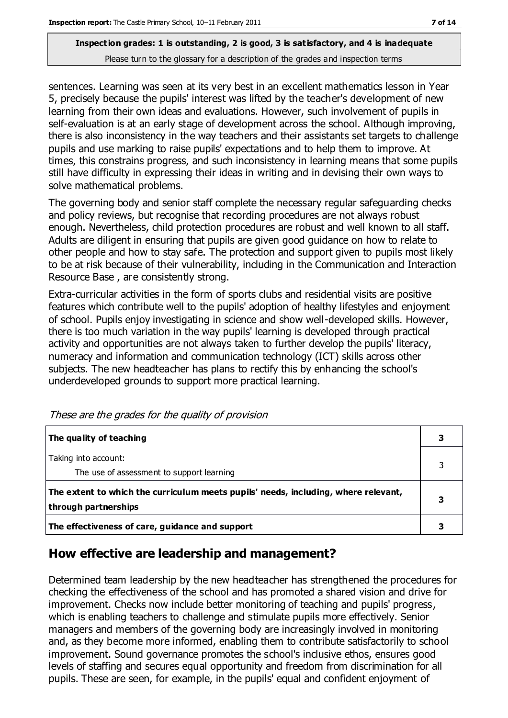sentences. Learning was seen at its very best in an excellent mathematics lesson in Year 5, precisely because the pupils' interest was lifted by the teacher's development of new learning from their own ideas and evaluations. However, such involvement of pupils in self-evaluation is at an early stage of development across the school. Although improving, there is also inconsistency in the way teachers and their assistants set targets to challenge pupils and use marking to raise pupils' expectations and to help them to improve. At times, this constrains progress, and such inconsistency in learning means that some pupils still have difficulty in expressing their ideas in writing and in devising their own ways to solve mathematical problems.

The governing body and senior staff complete the necessary regular safeguarding checks and policy reviews, but recognise that recording procedures are not always robust enough. Nevertheless, child protection procedures are robust and well known to all staff. Adults are diligent in ensuring that pupils are given good guidance on how to relate to other people and how to stay safe. The protection and support given to pupils most likely to be at risk because of their vulnerability, including in the Communication and Interaction Resource Base , are consistently strong.

Extra-curricular activities in the form of sports clubs and residential visits are positive features which contribute well to the pupils' adoption of healthy lifestyles and enjoyment of school. Pupils enjoy investigating in science and show well-developed skills. However, there is too much variation in the way pupils' learning is developed through practical activity and opportunities are not always taken to further develop the pupils' literacy, numeracy and information and communication technology (ICT) skills across other subjects. The new headteacher has plans to rectify this by enhancing the school's underdeveloped grounds to support more practical learning.

| The quality of teaching                                                                                    |  |
|------------------------------------------------------------------------------------------------------------|--|
| Taking into account:<br>The use of assessment to support learning                                          |  |
| The extent to which the curriculum meets pupils' needs, including, where relevant,<br>through partnerships |  |
| The effectiveness of care, guidance and support                                                            |  |

These are the grades for the quality of provision

## **How effective are leadership and management?**

Determined team leadership by the new headteacher has strengthened the procedures for checking the effectiveness of the school and has promoted a shared vision and drive for improvement. Checks now include better monitoring of teaching and pupils' progress, which is enabling teachers to challenge and stimulate pupils more effectively. Senior managers and members of the governing body are increasingly involved in monitoring and, as they become more informed, enabling them to contribute satisfactorily to school improvement. Sound governance promotes the school's inclusive ethos, ensures good levels of staffing and secures equal opportunity and freedom from discrimination for all pupils. These are seen, for example, in the pupils' equal and confident enjoyment of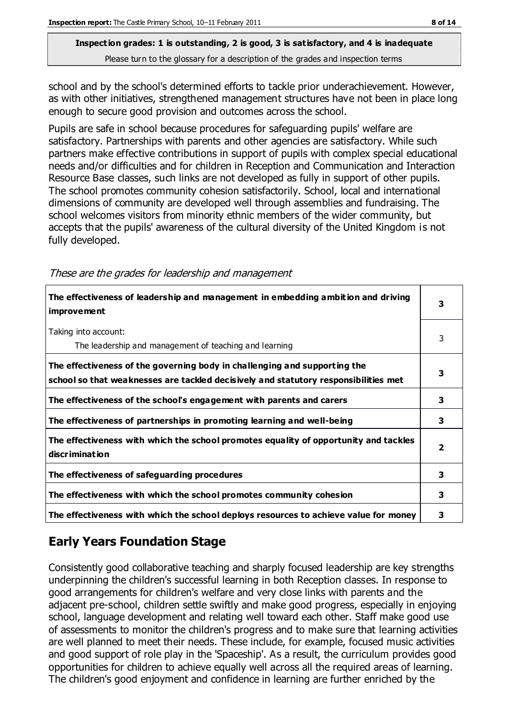school and by the school's determined efforts to tackle prior underachievement. However, as with other initiatives, strengthened management structures have not been in place long enough to secure good provision and outcomes across the school.

Pupils are safe in school because procedures for safeguarding pupils' welfare are satisfactory. Partnerships with parents and other agencies are satisfactory. While such partners make effective contributions in support of pupils with complex special educational needs and/or difficulties and for children in Reception and Communication and Interaction Resource Base classes, such links are not developed as fully in support of other pupils. The school promotes community cohesion satisfactorily. School, local and international dimensions of community are developed well through assemblies and fundraising. The school welcomes visitors from minority ethnic members of the wider community, but accepts that the pupils' awareness of the cultural diversity of the United Kingdom is not fully developed.

| The effectiveness of leadership and management in embedding ambition and driving<br>improve ment                                                                 | 3 |
|------------------------------------------------------------------------------------------------------------------------------------------------------------------|---|
| Taking into account:<br>The leadership and management of teaching and learning                                                                                   | 3 |
| The effectiveness of the governing body in challenging and supporting the<br>school so that weaknesses are tackled decisively and statutory responsibilities met | 3 |
| The effectiveness of the school's engagement with parents and carers                                                                                             | 3 |
| The effectiveness of partnerships in promoting learning and well-being                                                                                           | 3 |
| The effectiveness with which the school promotes equality of opportunity and tackles<br>discrimination                                                           | 2 |
| The effectiveness of safeguarding procedures                                                                                                                     | 3 |
| The effectiveness with which the school promotes community cohesion                                                                                              | 3 |
| The effectiveness with which the school deploys resources to achieve value for money                                                                             | 3 |
|                                                                                                                                                                  |   |

These are the grades for leadership and management

# **Early Years Foundation Stage**

Consistently good collaborative teaching and sharply focused leadership are key strengths underpinning the children's successful learning in both Reception classes. In response to good arrangements for children's welfare and very close links with parents and the adjacent pre-school, children settle swiftly and make good progress, especially in enjoying school, language development and relating well toward each other. Staff make good use of assessments to monitor the children's progress and to make sure that learning activities are well planned to meet their needs. These include, for example, focused music activities and good support of role play in the 'Spaceship'. As a result, the curriculum provides good opportunities for children to achieve equally well across all the required areas of learning. The children's good enjoyment and confidence in learning are further enriched by the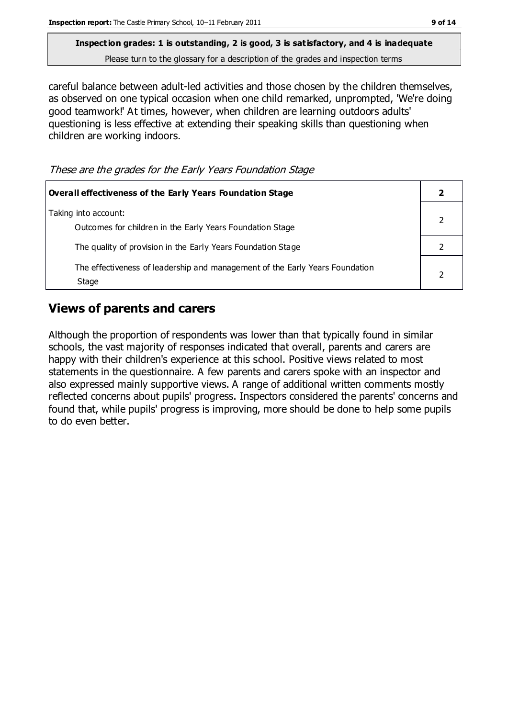careful balance between adult-led activities and those chosen by the children themselves, as observed on one typical occasion when one child remarked, unprompted, 'We're doing good teamwork!' At times, however, when children are learning outdoors adults' questioning is less effective at extending their speaking skills than questioning when children are working indoors.

These are the grades for the Early Years Foundation Stage

| <b>Overall effectiveness of the Early Years Foundation Stage</b>                      |  |
|---------------------------------------------------------------------------------------|--|
| Taking into account:<br>Outcomes for children in the Early Years Foundation Stage     |  |
| The quality of provision in the Early Years Foundation Stage                          |  |
| The effectiveness of leadership and management of the Early Years Foundation<br>Stage |  |

## **Views of parents and carers**

Although the proportion of respondents was lower than that typically found in similar schools, the vast majority of responses indicated that overall, parents and carers are happy with their children's experience at this school. Positive views related to most statements in the questionnaire. A few parents and carers spoke with an inspector and also expressed mainly supportive views. A range of additional written comments mostly reflected concerns about pupils' progress. Inspectors considered the parents' concerns and found that, while pupils' progress is improving, more should be done to help some pupils to do even better.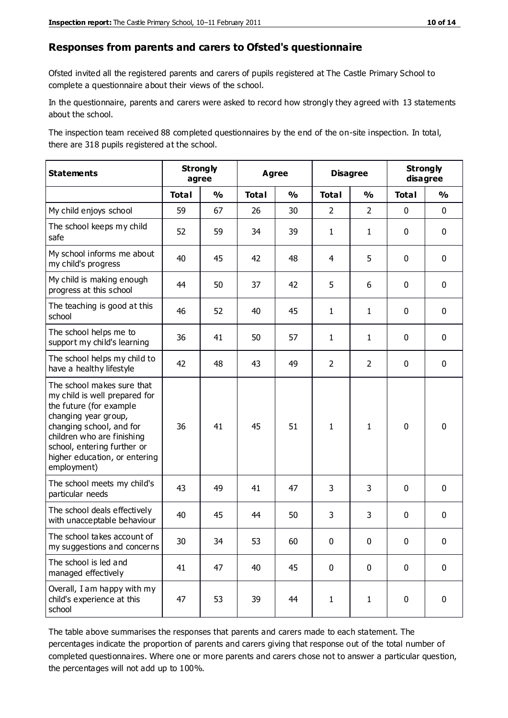#### **Responses from parents and carers to Ofsted's questionnaire**

Ofsted invited all the registered parents and carers of pupils registered at The Castle Primary School to complete a questionnaire about their views of the school.

In the questionnaire, parents and carers were asked to record how strongly they agreed with 13 statements about the school.

The inspection team received 88 completed questionnaires by the end of the on-site inspection. In total, there are 318 pupils registered at the school.

| <b>Statements</b>                                                                                                                                                                                                                                       | <b>Strongly</b><br>agree |               |              | <b>Disagree</b><br><b>Agree</b> |                |                | <b>Strongly</b><br>disagree |               |
|---------------------------------------------------------------------------------------------------------------------------------------------------------------------------------------------------------------------------------------------------------|--------------------------|---------------|--------------|---------------------------------|----------------|----------------|-----------------------------|---------------|
|                                                                                                                                                                                                                                                         | <b>Total</b>             | $\frac{0}{0}$ | <b>Total</b> | $\frac{1}{2}$                   | <b>Total</b>   | $\frac{1}{2}$  | <b>Total</b>                | $\frac{1}{2}$ |
| My child enjoys school                                                                                                                                                                                                                                  | 59                       | 67            | 26           | 30                              | $\overline{2}$ | $\overline{2}$ | $\mathbf 0$                 | $\mathbf 0$   |
| The school keeps my child<br>safe                                                                                                                                                                                                                       | 52                       | 59            | 34           | 39                              | $\mathbf{1}$   | $\mathbf{1}$   | $\mathbf 0$                 | $\mathbf 0$   |
| My school informs me about<br>my child's progress                                                                                                                                                                                                       | 40                       | 45            | 42           | 48                              | 4              | 5              | $\mathbf 0$                 | $\mathbf 0$   |
| My child is making enough<br>progress at this school                                                                                                                                                                                                    | 44                       | 50            | 37           | 42                              | 5              | 6              | $\mathbf 0$                 | $\mathbf 0$   |
| The teaching is good at this<br>school                                                                                                                                                                                                                  | 46                       | 52            | 40           | 45                              | $\mathbf{1}$   | $\mathbf{1}$   | 0                           | $\mathbf 0$   |
| The school helps me to<br>support my child's learning                                                                                                                                                                                                   | 36                       | 41            | 50           | 57                              | 1              | 1              | 0                           | $\mathbf 0$   |
| The school helps my child to<br>have a healthy lifestyle                                                                                                                                                                                                | 42                       | 48            | 43           | 49                              | $\overline{2}$ | $\overline{2}$ | 0                           | $\mathbf 0$   |
| The school makes sure that<br>my child is well prepared for<br>the future (for example<br>changing year group,<br>changing school, and for<br>children who are finishing<br>school, entering further or<br>higher education, or entering<br>employment) | 36                       | 41            | 45           | 51                              | $\mathbf{1}$   | $\mathbf{1}$   | $\mathbf 0$                 | $\mathbf 0$   |
| The school meets my child's<br>particular needs                                                                                                                                                                                                         | 43                       | 49            | 41           | 47                              | 3              | 3              | $\mathbf 0$                 | $\mathbf 0$   |
| The school deals effectively<br>with unacceptable behaviour                                                                                                                                                                                             | 40                       | 45            | 44           | 50                              | 3              | 3              | $\mathbf 0$                 | $\pmb{0}$     |
| The school takes account of<br>my suggestions and concerns                                                                                                                                                                                              | 30                       | 34            | 53           | 60                              | $\mathbf{0}$   | $\mathbf 0$    | $\mathbf{0}$                | $\mathbf{0}$  |
| The school is led and<br>managed effectively                                                                                                                                                                                                            | 41                       | 47            | 40           | 45                              | 0              | $\mathbf 0$    | $\mathbf 0$                 | $\mathbf 0$   |
| Overall, I am happy with my<br>child's experience at this<br>school                                                                                                                                                                                     | 47                       | 53            | 39           | 44                              | $\mathbf{1}$   | $\mathbf{1}$   | $\mathbf 0$                 | $\pmb{0}$     |

The table above summarises the responses that parents and carers made to each statement. The percentages indicate the proportion of parents and carers giving that response out of the total number of completed questionnaires. Where one or more parents and carers chose not to answer a particular question, the percentages will not add up to 100%.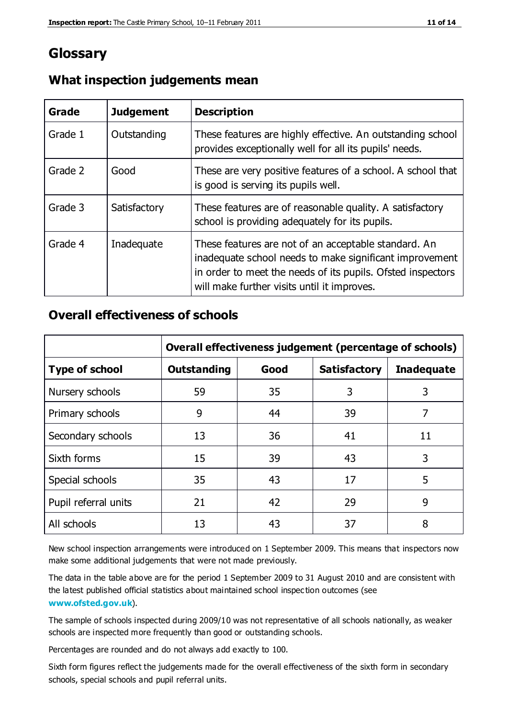# **Glossary**

| Grade   | <b>Judgement</b> | <b>Description</b>                                                                                                                                                                                                            |
|---------|------------------|-------------------------------------------------------------------------------------------------------------------------------------------------------------------------------------------------------------------------------|
| Grade 1 | Outstanding      | These features are highly effective. An outstanding school<br>provides exceptionally well for all its pupils' needs.                                                                                                          |
| Grade 2 | Good             | These are very positive features of a school. A school that<br>is good is serving its pupils well.                                                                                                                            |
| Grade 3 | Satisfactory     | These features are of reasonable quality. A satisfactory<br>school is providing adequately for its pupils.                                                                                                                    |
| Grade 4 | Inadequate       | These features are not of an acceptable standard. An<br>inadequate school needs to make significant improvement<br>in order to meet the needs of its pupils. Ofsted inspectors<br>will make further visits until it improves. |

#### **What inspection judgements mean**

#### **Overall effectiveness of schools**

|                       | Overall effectiveness judgement (percentage of schools) |      |                     |                   |
|-----------------------|---------------------------------------------------------|------|---------------------|-------------------|
| <b>Type of school</b> | <b>Outstanding</b>                                      | Good | <b>Satisfactory</b> | <b>Inadequate</b> |
| Nursery schools       | 59                                                      | 35   | 3                   | 3                 |
| Primary schools       | 9                                                       | 44   | 39                  | 7                 |
| Secondary schools     | 13                                                      | 36   | 41                  | 11                |
| Sixth forms           | 15                                                      | 39   | 43                  | 3                 |
| Special schools       | 35                                                      | 43   | 17                  | 5                 |
| Pupil referral units  | 21                                                      | 42   | 29                  | 9                 |
| All schools           | 13                                                      | 43   | 37                  | 8                 |

New school inspection arrangements were introduced on 1 September 2009. This means that inspectors now make some additional judgements that were not made previously.

The data in the table above are for the period 1 September 2009 to 31 August 2010 and are consistent with the latest published official statistics about maintained school inspec tion outcomes (see **[www.ofsted.gov.uk](http://www.ofsted.gov.uk/)**).

The sample of schools inspected during 2009/10 was not representative of all schools nationally, as weaker schools are inspected more frequently than good or outstanding schools.

Percentages are rounded and do not always add exactly to 100.

Sixth form figures reflect the judgements made for the overall effectiveness of the sixth form in secondary schools, special schools and pupil referral units.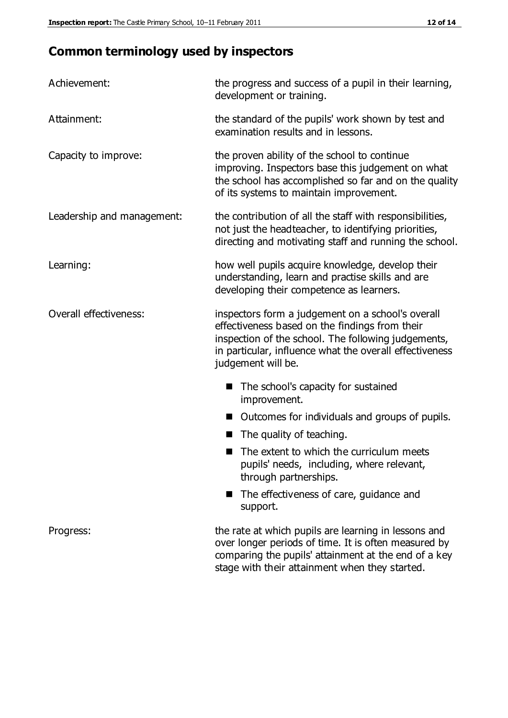# **Common terminology used by inspectors**

| Achievement:               | the progress and success of a pupil in their learning,<br>development or training.                                                                                                                                                          |  |  |
|----------------------------|---------------------------------------------------------------------------------------------------------------------------------------------------------------------------------------------------------------------------------------------|--|--|
| Attainment:                | the standard of the pupils' work shown by test and<br>examination results and in lessons.                                                                                                                                                   |  |  |
| Capacity to improve:       | the proven ability of the school to continue<br>improving. Inspectors base this judgement on what<br>the school has accomplished so far and on the quality<br>of its systems to maintain improvement.                                       |  |  |
| Leadership and management: | the contribution of all the staff with responsibilities,<br>not just the headteacher, to identifying priorities,<br>directing and motivating staff and running the school.                                                                  |  |  |
| Learning:                  | how well pupils acquire knowledge, develop their<br>understanding, learn and practise skills and are<br>developing their competence as learners.                                                                                            |  |  |
| Overall effectiveness:     | inspectors form a judgement on a school's overall<br>effectiveness based on the findings from their<br>inspection of the school. The following judgements,<br>in particular, influence what the overall effectiveness<br>judgement will be. |  |  |
|                            | The school's capacity for sustained<br>improvement.                                                                                                                                                                                         |  |  |
|                            | Outcomes for individuals and groups of pupils.                                                                                                                                                                                              |  |  |
|                            | The quality of teaching.                                                                                                                                                                                                                    |  |  |
|                            | The extent to which the curriculum meets<br>pupils' needs, including, where relevant,<br>through partnerships.                                                                                                                              |  |  |
|                            | The effectiveness of care, guidance and<br>support.                                                                                                                                                                                         |  |  |
| Progress:                  | the rate at which pupils are learning in lessons and<br>over longer periods of time. It is often measured by<br>comparing the pupils' attainment at the end of a key                                                                        |  |  |

stage with their attainment when they started.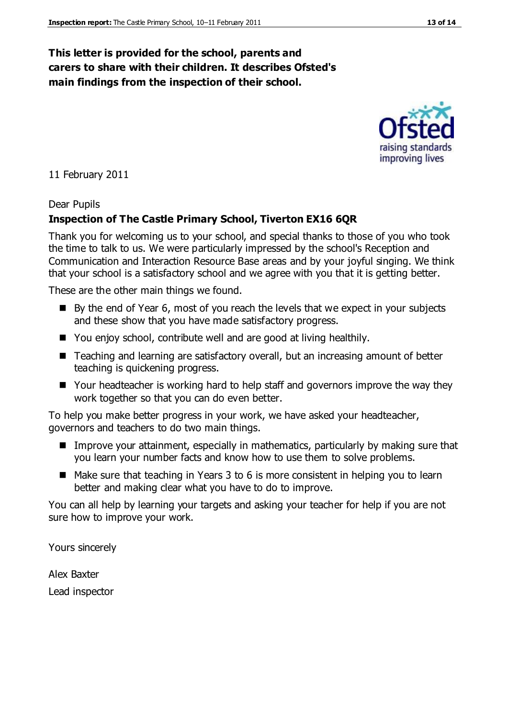#### **This letter is provided for the school, parents and carers to share with their children. It describes Ofsted's main findings from the inspection of their school.**

#### 11 February 2011

#### Dear Pupils

#### **Inspection of The Castle Primary School, Tiverton EX16 6QR**

Thank you for welcoming us to your school, and special thanks to those of you who took the time to talk to us. We were particularly impressed by the school's Reception and Communication and Interaction Resource Base areas and by your joyful singing. We think that your school is a satisfactory school and we agree with you that it is getting better.

These are the other main things we found.

- $\blacksquare$  By the end of Year 6, most of you reach the levels that we expect in your subjects and these show that you have made satisfactory progress.
- You enjoy school, contribute well and are good at living healthily.
- Teaching and learning are satisfactory overall, but an increasing amount of better teaching is quickening progress.
- Your headteacher is working hard to help staff and governors improve the way they work together so that you can do even better.

To help you make better progress in your work, we have asked your headteacher, governors and teachers to do two main things.

- Improve your attainment, especially in mathematics, particularly by making sure that you learn your number facts and know how to use them to solve problems.
- Make sure that teaching in Years 3 to 6 is more consistent in helping you to learn better and making clear what you have to do to improve.

You can all help by learning your targets and asking your teacher for help if you are not sure how to improve your work.

Yours sincerely

Alex Baxter Lead inspector